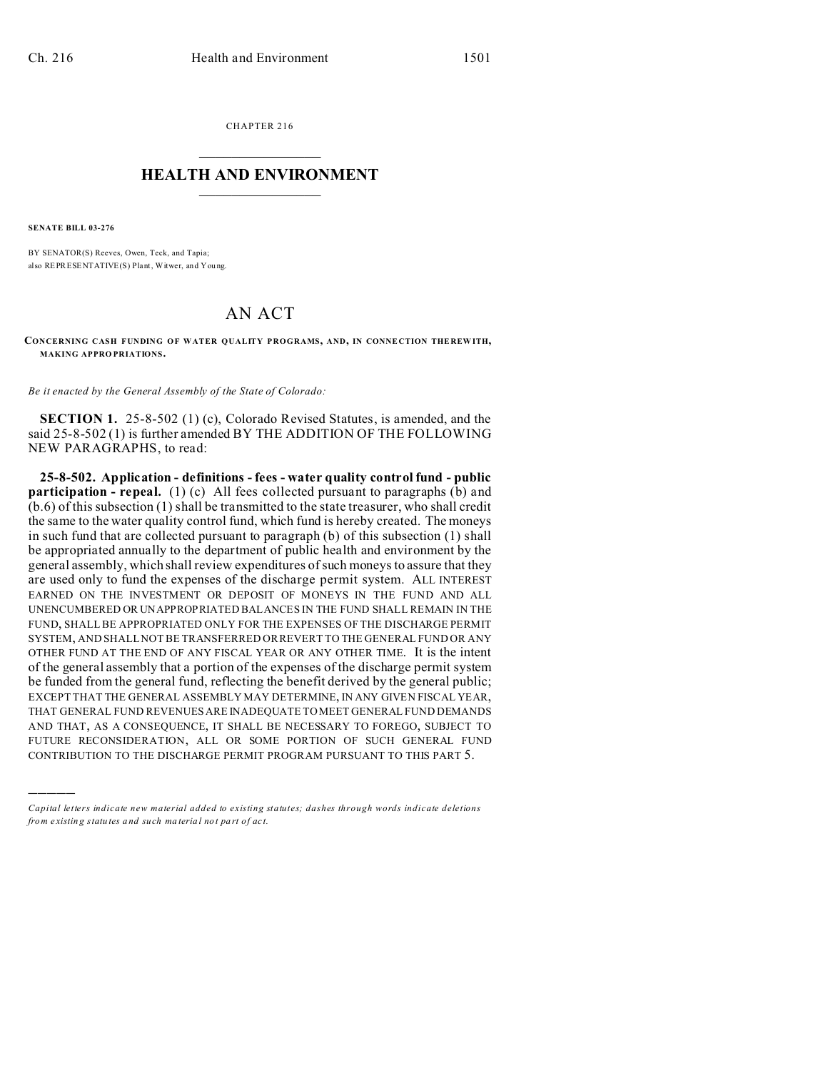CHAPTER 216  $\overline{\phantom{a}}$  , where  $\overline{\phantom{a}}$ 

## **HEALTH AND ENVIRONMENT**  $\_$   $\_$   $\_$   $\_$   $\_$   $\_$   $\_$   $\_$

**SENATE BILL 03-276**

)))))

BY SENATOR(S) Reeves, Owen, Teck, and Tapia; also REPRESENTATIVE(S) Plant, Witwer, and You ng.

## AN ACT

**CONCERNING CASH FUNDING OF WATER QUALITY PROGRAMS, AND, IN CONNE CTION THE REW ITH, MAKING APPRO PRIATIONS.**

*Be it enacted by the General Assembly of the State of Colorado:*

**SECTION 1.** 25-8-502 (1) (c), Colorado Revised Statutes, is amended, and the said 25-8-502 (1) is further amended BY THE ADDITION OF THE FOLLOWING NEW PARAGRAPHS, to read:

**25-8-502. Application - definitions - fees - water quality control fund - public participation - repeal.** (1) (c) All fees collected pursuant to paragraphs (b) and (b.6) of this subsection (1) shall be transmitted to the state treasurer, who shall credit the same to the water quality control fund, which fund is hereby created. The moneys in such fund that are collected pursuant to paragraph (b) of this subsection (1) shall be appropriated annually to the department of public health and environment by the general assembly, which shall review expenditures of such moneys to assure that they are used only to fund the expenses of the discharge permit system. ALL INTEREST EARNED ON THE INVESTMENT OR DEPOSIT OF MONEYS IN THE FUND AND ALL UNENCUMBERED OR UNAPPROPRIATED BALANCES IN THE FUND SHALL REMAIN IN THE FUND, SHALL BE APPROPRIATED ONLY FOR THE EXPENSES OF THE DISCHARGE PERMIT SYSTEM, AND SHALL NOT BE TRANSFERRED OR REVERT TO THE GENERAL FUND OR ANY OTHER FUND AT THE END OF ANY FISCAL YEAR OR ANY OTHER TIME. It is the intent of the general assembly that a portion of the expenses of the discharge permit system be funded from the general fund, reflecting the benefit derived by the general public; EXCEPT THAT THE GENERAL ASSEMBLY MAY DETERMINE, IN ANY GIVEN FISCAL YEAR, THAT GENERAL FUND REVENUES ARE INADEQUATE TO MEET GENERAL FUND DEMANDS AND THAT, AS A CONSEQUENCE, IT SHALL BE NECESSARY TO FOREGO, SUBJECT TO FUTURE RECONSIDERATION, ALL OR SOME PORTION OF SUCH GENERAL FUND CONTRIBUTION TO THE DISCHARGE PERMIT PROGRAM PURSUANT TO THIS PART 5.

*Capital letters indicate new material added to existing statutes; dashes through words indicate deletions from e xistin g statu tes a nd such ma teria l no t pa rt of ac t.*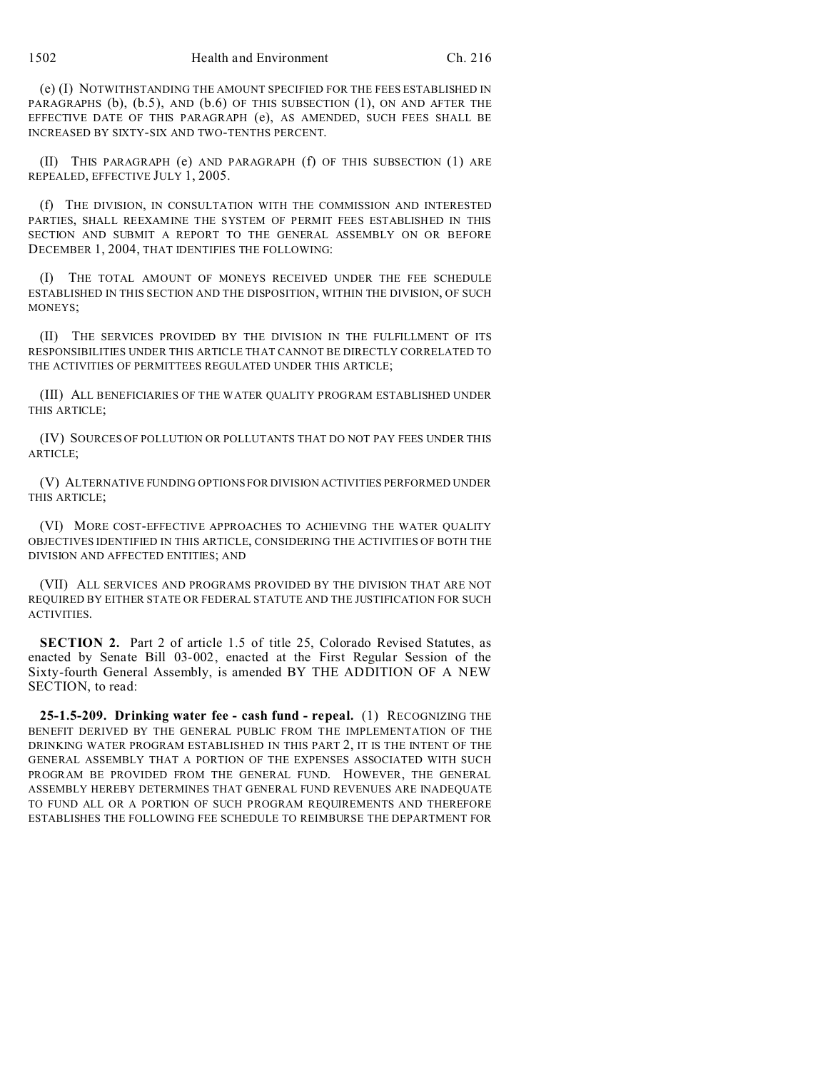(e) (I) NOTWITHSTANDING THE AMOUNT SPECIFIED FOR THE FEES ESTABLISHED IN PARAGRAPHS (b), (b.5), AND (b.6) OF THIS SUBSECTION (1), ON AND AFTER THE EFFECTIVE DATE OF THIS PARAGRAPH (e), AS AMENDED, SUCH FEES SHALL BE INCREASED BY SIXTY-SIX AND TWO-TENTHS PERCENT.

(II) THIS PARAGRAPH (e) AND PARAGRAPH (f) OF THIS SUBSECTION (1) ARE REPEALED, EFFECTIVE JULY 1, 2005.

(f) THE DIVISION, IN CONSULTATION WITH THE COMMISSION AND INTERESTED PARTIES, SHALL REEXAMINE THE SYSTEM OF PERMIT FEES ESTABLISHED IN THIS SECTION AND SUBMIT A REPORT TO THE GENERAL ASSEMBLY ON OR BEFORE DECEMBER 1, 2004, THAT IDENTIFIES THE FOLLOWING:

(I) THE TOTAL AMOUNT OF MONEYS RECEIVED UNDER THE FEE SCHEDULE ESTABLISHED IN THIS SECTION AND THE DISPOSITION, WITHIN THE DIVISION, OF SUCH MONEYS;

(II) THE SERVICES PROVIDED BY THE DIVISION IN THE FULFILLMENT OF ITS RESPONSIBILITIES UNDER THIS ARTICLE THAT CANNOT BE DIRECTLY CORRELATED TO THE ACTIVITIES OF PERMITTEES REGULATED UNDER THIS ARTICLE;

(III) ALL BENEFICIARIES OF THE WATER QUALITY PROGRAM ESTABLISHED UNDER THIS ARTICLE;

(IV) SOURCES OF POLLUTION OR POLLUTANTS THAT DO NOT PAY FEES UNDER THIS ARTICLE;

(V) ALTERNATIVE FUNDING OPTIONS FOR DIVISION ACTIVITIES PERFORMED UNDER THIS ARTICLE;

(VI) MORE COST-EFFECTIVE APPROACHES TO ACHIEVING THE WATER QUALITY OBJECTIVES IDENTIFIED IN THIS ARTICLE, CONSIDERING THE ACTIVITIES OF BOTH THE DIVISION AND AFFECTED ENTITIES; AND

(VII) ALL SERVICES AND PROGRAMS PROVIDED BY THE DIVISION THAT ARE NOT REQUIRED BY EITHER STATE OR FEDERAL STATUTE AND THE JUSTIFICATION FOR SUCH ACTIVITIES.

**SECTION 2.** Part 2 of article 1.5 of title 25, Colorado Revised Statutes, as enacted by Senate Bill 03-002, enacted at the First Regular Session of the Sixty-fourth General Assembly, is amended BY THE ADDITION OF A NEW SECTION, to read:

**25-1.5-209. Drinking water fee - cash fund - repeal.** (1) RECOGNIZING THE BENEFIT DERIVED BY THE GENERAL PUBLIC FROM THE IMPLEMENTATION OF THE DRINKING WATER PROGRAM ESTABLISHED IN THIS PART 2, IT IS THE INTENT OF THE GENERAL ASSEMBLY THAT A PORTION OF THE EXPENSES ASSOCIATED WITH SUCH PROGRAM BE PROVIDED FROM THE GENERAL FUND. HOWEVER, THE GENERAL ASSEMBLY HEREBY DETERMINES THAT GENERAL FUND REVENUES ARE INADEQUATE TO FUND ALL OR A PORTION OF SUCH PROGRAM REQUIREMENTS AND THEREFORE ESTABLISHES THE FOLLOWING FEE SCHEDULE TO REIMBURSE THE DEPARTMENT FOR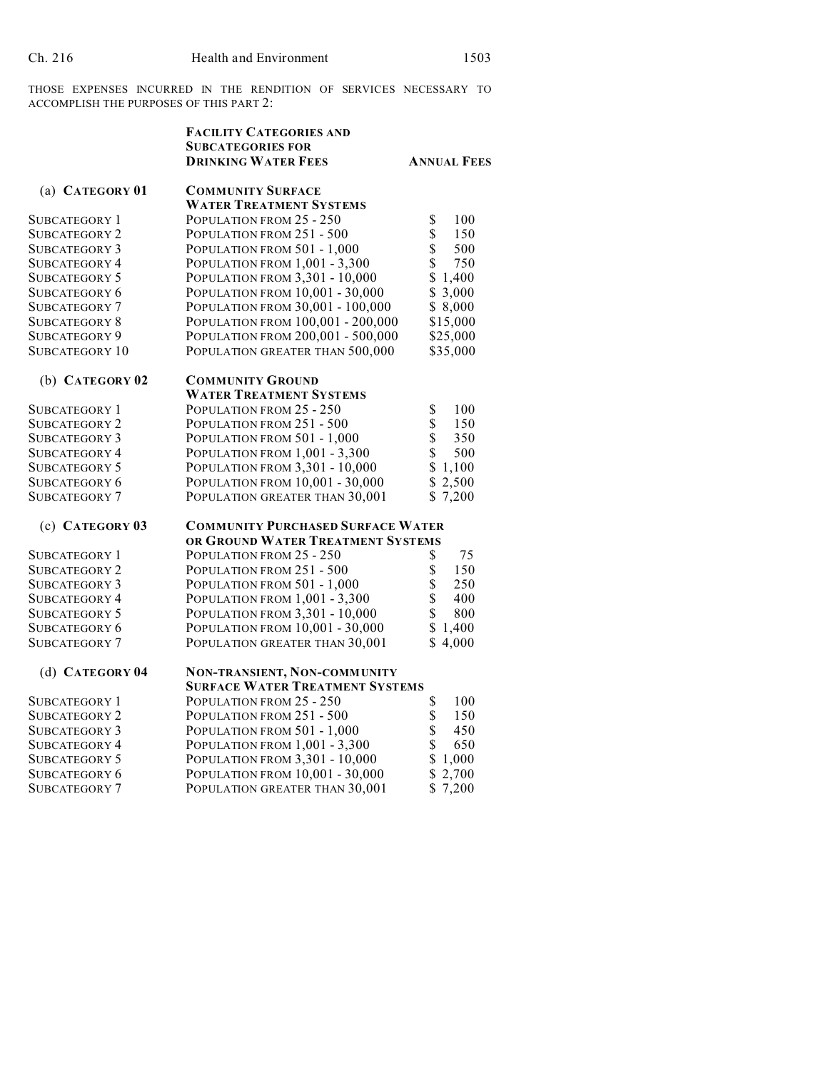THOSE EXPENSES INCURRED IN THE RENDITION OF SERVICES NECESSARY TO ACCOMPLISH THE PURPOSES OF THIS PART 2:

|                                | <b>FACILITY CATEGORIES AND</b><br><b>SUBCATEGORIES FOR</b><br><b>DRINKING WATER FEES</b> | <b>ANNUAL FEES</b>     |  |
|--------------------------------|------------------------------------------------------------------------------------------|------------------------|--|
| (a) CATEGORY 01                | <b>COMMUNITY SURFACE</b>                                                                 |                        |  |
| SUBCATEGORY 1                  | <b>WATER TREATMENT SYSTEMS</b><br>POPULATION FROM 25 - 250                               | \$<br>100              |  |
| Subcategory 2                  | POPULATION FROM 251 - 500                                                                | \$<br>150              |  |
| SUBCATEGORY 3                  | POPULATION FROM 501 - 1,000                                                              | \$<br>500              |  |
| Subcategory 4                  | POPULATION FROM 1,001 - 3,300                                                            | \$<br>750              |  |
| Subcategory 5                  | POPULATION FROM 3,301 - 10,000                                                           | \$<br>1,400            |  |
| SUBCATEGORY 6                  | POPULATION FROM 10,001 - 30,000                                                          | \$3,000                |  |
| SUBCATEGORY 7                  | POPULATION FROM 30,001 - 100,000                                                         | \$8,000                |  |
| SUBCATEGORY 8                  | POPULATION FROM 100,001 - 200,000                                                        | \$15,000               |  |
| Subcategory 9                  | POPULATION FROM 200,001 - 500,000                                                        | \$25,000               |  |
| SUBCATEGORY 10                 | POPULATION GREATER THAN 500,000                                                          | \$35,000               |  |
| (b) CATEGORY 02                | <b>COMMUNITY GROUND</b>                                                                  |                        |  |
|                                | <b>WATER TREATMENT SYSTEMS</b>                                                           |                        |  |
| Subcategory 1                  | POPULATION FROM 25 - 250                                                                 | \$<br>100              |  |
| <b>SUBCATEGORY 2</b>           | POPULATION FROM 251 - 500                                                                | \$<br>150              |  |
| SUBCATEGORY 3                  | POPULATION FROM 501 - 1,000                                                              | \$<br>350              |  |
| Subcategory 4                  | POPULATION FROM 1,001 - 3,300                                                            | \$<br>500              |  |
| SUBCATEGORY 5                  | POPULATION FROM 3,301 - 10,000                                                           | \$<br>1,100            |  |
| SUBCATEGORY 6                  | POPULATION FROM 10,001 - 30,000                                                          | \$2,500                |  |
| SUBCATEGORY 7                  | POPULATION GREATER THAN 30,001                                                           | \$7,200                |  |
| (c) CATEGORY 03                | <b>COMMUNITY PURCHASED SURFACE WATER</b>                                                 |                        |  |
|                                | OR GROUND WATER TREATMENT SYSTEMS                                                        |                        |  |
| Subcategory 1                  | POPULATION FROM 25 - 250                                                                 | 75<br>\$               |  |
| Subcategory 2                  | POPULATION FROM 251 - 500                                                                | \$<br>150              |  |
| Subcategory 3                  | POPULATION FROM 501 - 1,000                                                              | \$<br>250              |  |
| Subcategory 4                  | POPULATION FROM 1,001 - 3,300                                                            | \$<br>400              |  |
| SUBCATEGORY 5                  | POPULATION FROM 3,301 - 10,000                                                           | \$<br>800              |  |
| SUBCATEGORY 6                  | POPULATION FROM 10,001 - 30,000                                                          | \$<br>1,400            |  |
| SUBCATEGORY 7                  | POPULATION GREATER THAN 30,001                                                           | \$<br>4,000            |  |
| (d) CATEGORY 04                | NON-TRANSIENT, NON-COMMUNITY<br><b>SURFACE WATER TREATMENT SYSTEMS</b>                   |                        |  |
|                                |                                                                                          |                        |  |
| Subcategory 1<br>SUBCATEGORY 2 | POPULATION FROM 25 - 250<br>POPULATION FROM 251 - 500                                    | \$<br>100<br>\$<br>150 |  |
|                                |                                                                                          | \$<br>450              |  |
| Subcategory 3                  | POPULATION FROM 501 - 1,000                                                              | \$<br>650              |  |
| Subcategory 4                  | POPULATION FROM 1,001 - 3,300                                                            | \$                     |  |
| SUBCATEGORY 5                  | POPULATION FROM 3,301 - 10,000                                                           | 1,000<br>\$<br>2,700   |  |
| SUBCATEGORY 6                  | POPULATION FROM 10,001 - 30,000                                                          | \$7,200                |  |
| Subcategory 7                  | POPULATION GREATER THAN 30,001                                                           |                        |  |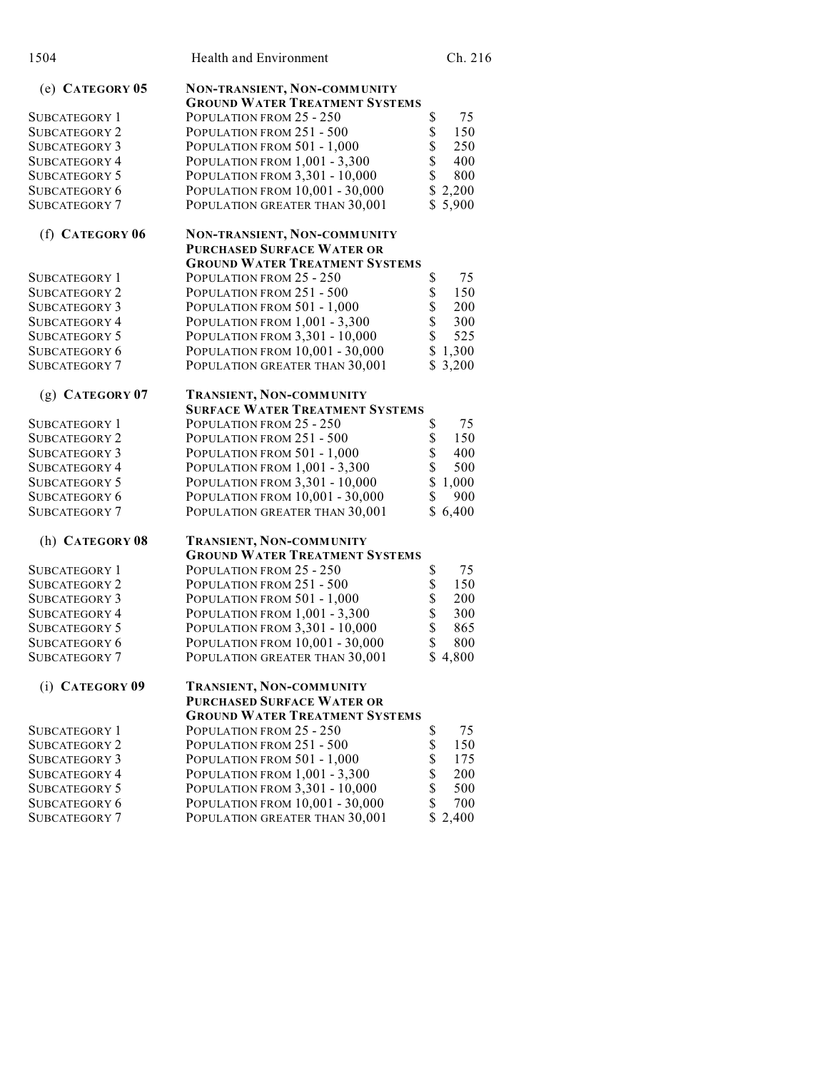| 1504                                         | Health and Environment                                                                                     |          | Ch. 216      |
|----------------------------------------------|------------------------------------------------------------------------------------------------------------|----------|--------------|
| $(e)$ CATEGORY 05                            | NON-TRANSIENT, NON-COMMUNITY<br><b>GROUND WATER TREATMENT SYSTEMS</b>                                      |          |              |
| SUBCATEGORY 1                                | POPULATION FROM 25 - 250                                                                                   | \$       | 75           |
| <b>SUBCATEGORY 2</b>                         | POPULATION FROM 251 - 500                                                                                  | \$       | 150          |
| <b>SUBCATEGORY 3</b>                         | POPULATION FROM 501 - 1,000                                                                                | \$       | 250          |
| <b>SUBCATEGORY 4</b>                         | POPULATION FROM 1,001 - 3,300                                                                              | \$       | 400          |
| <b>SUBCATEGORY 5</b>                         | POPULATION FROM 3,301 - 10,000                                                                             | \$       | 800          |
| <b>SUBCATEGORY 6</b>                         | POPULATION FROM 10,001 - 30,000                                                                            |          | \$2,200      |
| <b>SUBCATEGORY 7</b>                         | POPULATION GREATER THAN 30,001                                                                             | \$       | 5,900        |
| (f) CATEGORY 06                              | NON-TRANSIENT, NON-COMMUNITY<br><b>PURCHASED SURFACE WATER OR</b><br><b>GROUND WATER TREATMENT SYSTEMS</b> |          |              |
| SUBCATEGORY 1                                | POPULATION FROM 25 - 250                                                                                   | \$       | 75           |
| <b>SUBCATEGORY 2</b>                         | POPULATION FROM 251 - 500                                                                                  | \$       | 150          |
| <b>SUBCATEGORY 3</b>                         | POPULATION FROM 501 - 1,000                                                                                | \$       | 200          |
| <b>SUBCATEGORY 4</b>                         | POPULATION FROM 1,001 - 3,300                                                                              | \$       | 300          |
| <b>SUBCATEGORY 5</b>                         | POPULATION FROM 3,301 - 10,000                                                                             | \$       | 525          |
| <b>SUBCATEGORY 6</b>                         | POPULATION FROM 10,001 - 30,000                                                                            |          | \$1,300      |
| <b>SUBCATEGORY 7</b>                         | POPULATION GREATER THAN 30,001                                                                             |          | \$3,200      |
| $(g)$ CATEGORY 07                            | TRANSIENT, NON-COMMUNITY                                                                                   |          |              |
|                                              | <b>SURFACE WATER TREATMENT SYSTEMS</b>                                                                     |          |              |
| SUBCATEGORY 1                                | POPULATION FROM 25 - 250                                                                                   | \$       | 75           |
| <b>SUBCATEGORY 2</b>                         | POPULATION FROM 251 - 500                                                                                  | \$       | 150          |
| <b>SUBCATEGORY 3</b>                         | POPULATION FROM 501 - 1,000                                                                                | \$<br>\$ | 400          |
| <b>SUBCATEGORY 4</b>                         | POPULATION FROM 1,001 - 3,300                                                                              | \$       | 500<br>1,000 |
| <b>SUBCATEGORY 5</b><br><b>SUBCATEGORY 6</b> | POPULATION FROM 3,301 - 10,000<br>POPULATION FROM 10,001 - 30,000                                          | \$       | 900          |
| <b>SUBCATEGORY 7</b>                         | POPULATION GREATER THAN 30,001                                                                             |          | \$6,400      |
| (h) CATEGORY 08                              | TRANSIENT, NON-COMMUNITY<br><b>GROUND WATER TREATMENT SYSTEMS</b>                                          |          |              |
| SUBCATEGORY 1                                | POPULATION FROM 25 - 250                                                                                   | \$       | 75           |
| <b>SUBCATEGORY 2</b>                         | POPULATION FROM 251 - 500                                                                                  | \$       | 150          |
| <b>SUBCATEGORY 3</b>                         | POPULATION FROM 501 - 1,000                                                                                | \$       | 200          |
| <b>SUBCATEGORY 4</b>                         | POPULATION FROM 1,001 - 3,300                                                                              | \$       | 300          |
| <b>SUBCATEGORY 5</b>                         | POPULATION FROM 3,301 - 10,000                                                                             | \$       | 865          |
| SUBCATEGORY 6                                | POPULATION FROM 10,001 - 30,000                                                                            | \$       | 800          |
| <b>SUBCATEGORY 7</b>                         | POPULATION GREATER THAN 30,001                                                                             |          | \$4,800      |
| (i) CATEGORY 09                              | TRANSIENT, NON-COMMUNITY<br>PURCHASED SURFACE WATER OR                                                     |          |              |
|                                              | <b>GROUND WATER TREATMENT SYSTEMS</b>                                                                      |          |              |
| <b>SUBCATEGORY 1</b>                         | POPULATION FROM 25 - 250                                                                                   | \$       | 75           |
| <b>SUBCATEGORY 2</b>                         | POPULATION FROM 251 - 500                                                                                  | \$       | 150          |
| SUBCATEGORY 3                                | POPULATION FROM 501 - 1,000                                                                                | \$       | 175          |
| <b>SUBCATEGORY 4</b>                         | POPULATION FROM 1,001 - 3,300                                                                              | \$       | 200          |
| <b>SUBCATEGORY 5</b>                         | POPULATION FROM 3,301 - 10,000                                                                             | \$       | 500          |
| <b>SUBCATEGORY 6</b>                         | POPULATION FROM 10,001 - 30,000                                                                            | \$       | 700          |
| <b>SUBCATEGORY 7</b>                         | POPULATION GREATER THAN 30,001                                                                             |          | \$2,400      |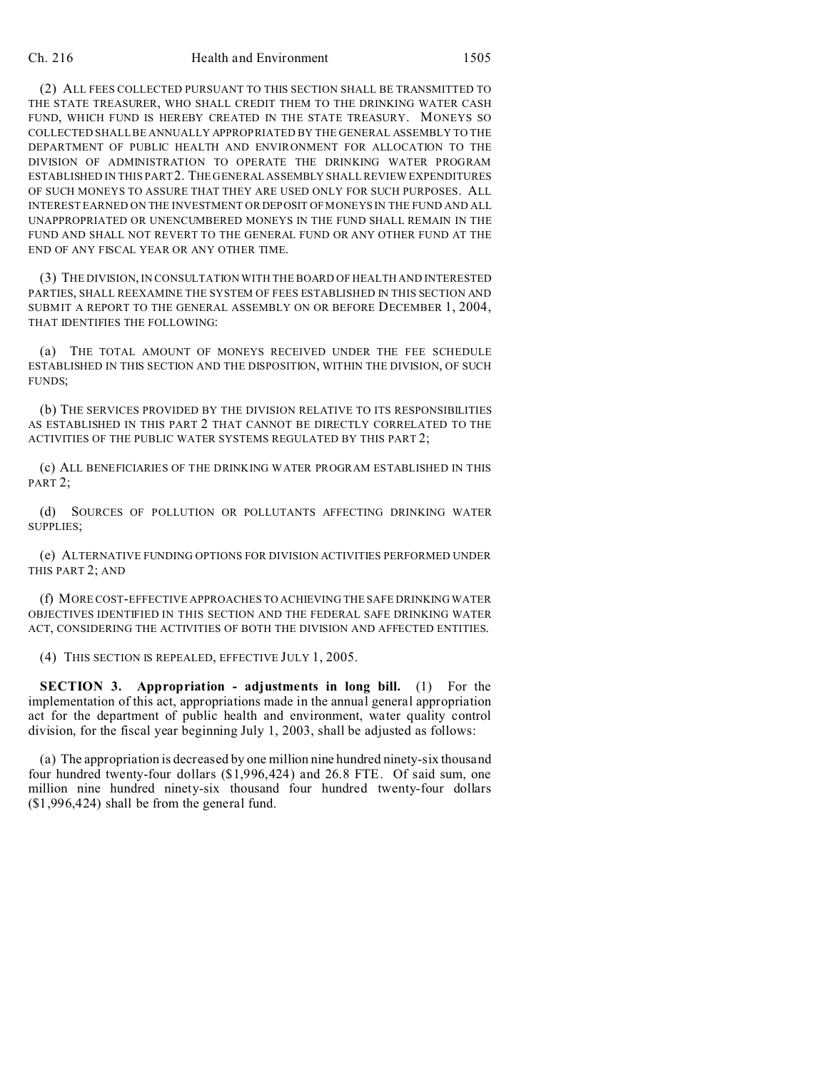## Ch. 216 Health and Environment 1505

(2) ALL FEES COLLECTED PURSUANT TO THIS SECTION SHALL BE TRANSMITTED TO THE STATE TREASURER, WHO SHALL CREDIT THEM TO THE DRINKING WATER CASH FUND, WHICH FUND IS HEREBY CREATED IN THE STATE TREASURY. MONEYS SO COLLECTED SHALL BE ANNUALLY APPROPRIATED BY THE GENERAL ASSEMBLY TO THE DEPARTMENT OF PUBLIC HEALTH AND ENVIRONMENT FOR ALLOCATION TO THE DIVISION OF ADMINISTRATION TO OPERATE THE DRINKING WATER PROGRAM ESTABLISHED IN THIS PART 2. THE GENERAL ASSEMBLY SHALL REVIEW EXPENDITURES OF SUCH MONEYS TO ASSURE THAT THEY ARE USED ONLY FOR SUCH PURPOSES. ALL INTEREST EARNED ON THE INVESTMENT OR DEPOSIT OF MONEYS IN THE FUND AND ALL UNAPPROPRIATED OR UNENCUMBERED MONEYS IN THE FUND SHALL REMAIN IN THE FUND AND SHALL NOT REVERT TO THE GENERAL FUND OR ANY OTHER FUND AT THE END OF ANY FISCAL YEAR OR ANY OTHER TIME.

(3) THE DIVISION, IN CONSULTATION WITH THE BOARD OF HEALTH AND INTERESTED PARTIES, SHALL REEXAMINE THE SYSTEM OF FEES ESTABLISHED IN THIS SECTION AND SUBMIT A REPORT TO THE GENERAL ASSEMBLY ON OR BEFORE DECEMBER 1, 2004, THAT IDENTIFIES THE FOLLOWING:

(a) THE TOTAL AMOUNT OF MONEYS RECEIVED UNDER THE FEE SCHEDULE ESTABLISHED IN THIS SECTION AND THE DISPOSITION, WITHIN THE DIVISION, OF SUCH FUNDS;

(b) THE SERVICES PROVIDED BY THE DIVISION RELATIVE TO ITS RESPONSIBILITIES AS ESTABLISHED IN THIS PART 2 THAT CANNOT BE DIRECTLY CORRELATED TO THE ACTIVITIES OF THE PUBLIC WATER SYSTEMS REGULATED BY THIS PART 2;

(c) ALL BENEFICIARIES OF THE DRINKING WATER PROGRAM ESTABLISHED IN THIS PART<sub>2</sub>:

(d) SOURCES OF POLLUTION OR POLLUTANTS AFFECTING DRINKING WATER SUPPLIES;

(e) ALTERNATIVE FUNDING OPTIONS FOR DIVISION ACTIVITIES PERFORMED UNDER THIS PART 2; AND

(f) MORE COST-EFFECTIVE APPROACHES TO ACHIEVING THE SAFE DRINKING WATER OBJECTIVES IDENTIFIED IN THIS SECTION AND THE FEDERAL SAFE DRINKING WATER ACT, CONSIDERING THE ACTIVITIES OF BOTH THE DIVISION AND AFFECTED ENTITIES.

(4) THIS SECTION IS REPEALED, EFFECTIVE JULY 1, 2005.

**SECTION 3. Appropriation - adjustments in long bill.** (1) For the implementation of this act, appropriations made in the annual general appropriation act for the department of public health and environment, water quality control division, for the fiscal year beginning July 1, 2003, shall be adjusted as follows:

(a) The appropriation is decreased by one million nine hundred ninety-six thousand four hundred twenty-four dollars (\$1,996,424) and 26.8 FTE. Of said sum, one million nine hundred ninety-six thousand four hundred twenty-four dollars (\$1,996,424) shall be from the general fund.